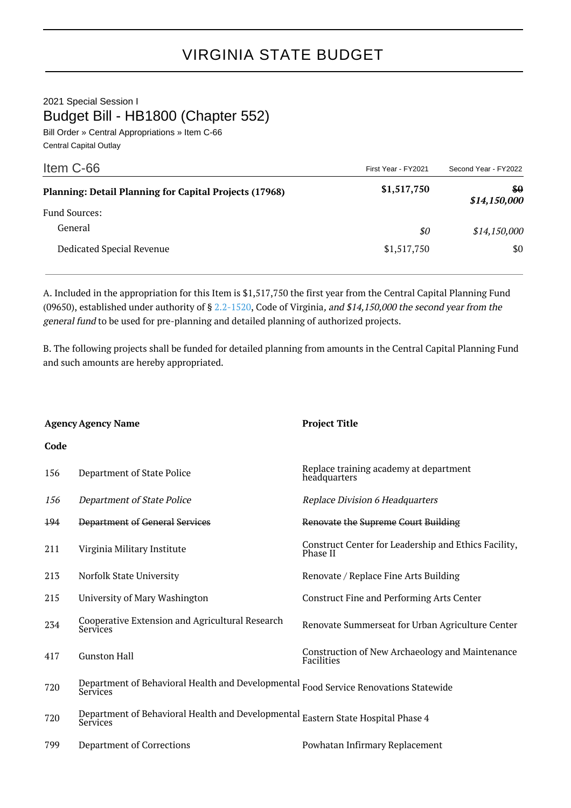2021 Special Session I Budget Bill - HB1800 (Chapter 552)

Bill Order » Central Appropriations » Item C-66 Central Capital Outlay

| Item C-66                                                     | First Year - FY2021 | Second Year - FY2022 |
|---------------------------------------------------------------|---------------------|----------------------|
| <b>Planning: Detail Planning for Capital Projects (17968)</b> | \$1,517,750         | \$0<br>\$14,150,000  |
| <b>Fund Sources:</b>                                          |                     |                      |
| General                                                       | \$0                 | \$14,150,000         |
| Dedicated Special Revenue                                     | \$1,517,750         | \$0                  |

A. Included in the appropriation for this Item is \$1,517,750 the first year from the Central Capital Planning Fund (09650), established under authority of §  $2.2-1520$ , Code of Virginia, and \$14,150,000 the second year from the general fund to be used for pre-planning and detailed planning of authorized projects.

B. The following projects shall be funded for detailed planning from amounts in the Central Capital Planning Fund and such amounts are hereby appropriated.

| <b>Agency Agency Name</b> |                                                               | <b>Project Title</b>                                                 |  |
|---------------------------|---------------------------------------------------------------|----------------------------------------------------------------------|--|
| Code                      |                                                               |                                                                      |  |
| 156                       | Department of State Police                                    | Replace training academy at department<br>headquarters               |  |
| 156                       | Department of State Police                                    | <b>Replace Division 6 Headquarters</b>                               |  |
| 194                       | Department of General Services                                | Renovate the Supreme Court Building                                  |  |
| 211                       | Virginia Military Institute                                   | Construct Center for Leadership and Ethics Facility,<br>Phase II     |  |
| 213                       | Norfolk State University                                      | Renovate / Replace Fine Arts Building                                |  |
| 215                       | University of Mary Washington                                 | <b>Construct Fine and Performing Arts Center</b>                     |  |
| 234                       | Cooperative Extension and Agricultural Research<br>Services   | Renovate Summerseat for Urban Agriculture Center                     |  |
| 417                       | <b>Gunston Hall</b>                                           | Construction of New Archaeology and Maintenance<br><b>Facilities</b> |  |
| 720                       | Department of Behavioral Health and Developmental<br>Services | <b>Food Service Renovations Statewide</b>                            |  |
| 720                       | Department of Behavioral Health and Developmental<br>Services | Eastern State Hospital Phase 4                                       |  |
| 799                       | <b>Department of Corrections</b>                              | Powhatan Infirmary Replacement                                       |  |